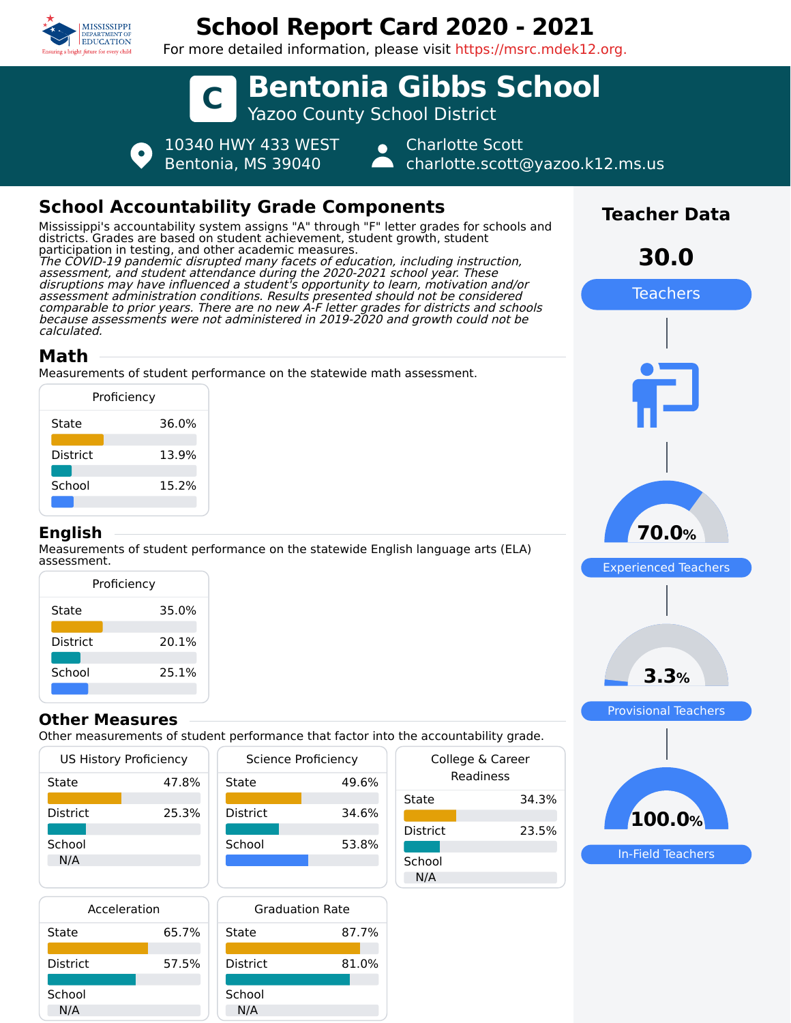

# **School Report Card 2020 - 2021**

For more detailed information, please visit https://msrc.mdek12.org.



## **School Accountability Grade Components**

Mississippi's accountability system assigns "A" through "F" letter grades for schools and districts. Grades are based on student achievement, student growth, student participation in testing, and other academic measures. The COVID-19 pandemic disrupted many facets of education, including instruction, assessment, and student attendance during the 2020-2021 school year. These disruptions may have influenced a student's opportunity to learn, motivation and/or assessment administration conditions. Results presented should not be considered comparable to prior years. There are no new A-F letter grades for districts and schools because assessments were not administered in 2019-2020 and growth could not be calculated.

### **Math**

Measurements of student performance on the statewide math assessment.

| Proficiency     |       |
|-----------------|-------|
| State           | 36.0% |
| <b>District</b> | 13.9% |
| School          | 15.2% |
|                 |       |

#### **English**

Measurements of student performance on the statewide English language arts (ELA) assessment.

| Proficiency |       |  |
|-------------|-------|--|
| State       | 35.0% |  |
| District    | 20.1% |  |
| School      | 25.1% |  |

#### **Other Measures**

Other measurements of student performance that factor into the accountability grade.

| <b>US History Proficiency</b> |       | Scier           |
|-------------------------------|-------|-----------------|
| State                         | 47.8% | State           |
|                               |       |                 |
| <b>District</b>               | 25.3% | <b>District</b> |
|                               |       |                 |
| School                        |       | School          |
| N/A                           |       |                 |
|                               |       |                 |
|                               |       |                 |

| Science Proficiency |       |
|---------------------|-------|
| State               | 49.6% |
| <b>District</b>     | 34.6% |
| School              | 53.8% |
|                     |       |

| Acceleration |       |      |
|--------------|-------|------|
| State        | 65.7% | Sta  |
| District     | 57.5% | Dist |
| School       |       |      |



| $\frac{1}{2}$ . accountability grade: |                               |
|---------------------------------------|-------------------------------|
|                                       | College & Career<br>Readiness |
| State                                 | 34.3%                         |
| <b>District</b>                       | 23.5%                         |
| School<br>N/A                         |                               |
|                                       |                               |



**Teacher Data**

**30.0**

In-Field Teachers